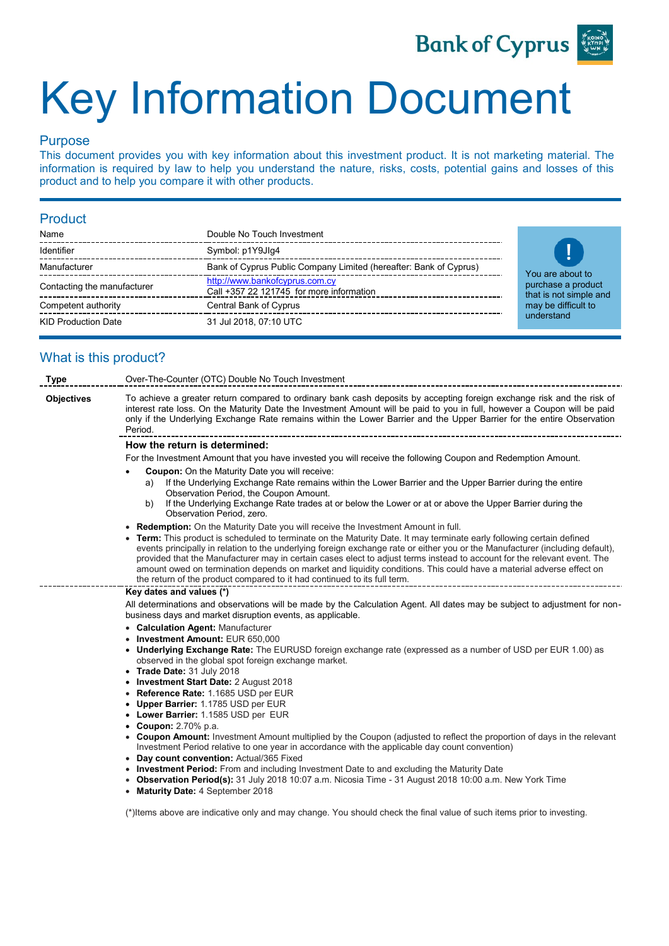

# Key Information Document

# Purpose

This document provides you with key information about this investment product. It is not marketing material. The information is required by law to help you understand the nature, risks, costs, potential gains and losses of this product and to help you compare it with other products.

# Product

| Name                        | Double No Touch Investment                                                 |
|-----------------------------|----------------------------------------------------------------------------|
| Identifier                  | Symbol: p1Y9Jlq4                                                           |
| Manufacturer                | Bank of Cyprus Public Company Limited (hereafter: Bank of Cyprus)          |
| Contacting the manufacturer | http://www.bankofcyprus.com.cy<br>Call +357 22 121745 for more information |
| Competent authority         | Central Bank of Cyprus                                                     |
| <b>KID Production Date</b>  | 31 Jul 2018, 07:10 UTC                                                     |



# What is this product?

| Type                                                                                           | Over-The-Counter (OTC) Double No Touch Investment                                                                                                                                                                                                                                                                                                                                                                                                                                                                                                                                     |  |  |  |
|------------------------------------------------------------------------------------------------|---------------------------------------------------------------------------------------------------------------------------------------------------------------------------------------------------------------------------------------------------------------------------------------------------------------------------------------------------------------------------------------------------------------------------------------------------------------------------------------------------------------------------------------------------------------------------------------|--|--|--|
| <b>Objectives</b>                                                                              | To achieve a greater return compared to ordinary bank cash deposits by accepting foreign exchange risk and the risk of<br>interest rate loss. On the Maturity Date the Investment Amount will be paid to you in full, however a Coupon will be paid<br>only if the Underlying Exchange Rate remains within the Lower Barrier and the Upper Barrier for the entire Observation<br>Period.                                                                                                                                                                                              |  |  |  |
|                                                                                                | How the return is determined:                                                                                                                                                                                                                                                                                                                                                                                                                                                                                                                                                         |  |  |  |
|                                                                                                | For the Investment Amount that you have invested you will receive the following Coupon and Redemption Amount.                                                                                                                                                                                                                                                                                                                                                                                                                                                                         |  |  |  |
|                                                                                                | <b>Coupon:</b> On the Maturity Date you will receive:                                                                                                                                                                                                                                                                                                                                                                                                                                                                                                                                 |  |  |  |
|                                                                                                | If the Underlying Exchange Rate remains within the Lower Barrier and the Upper Barrier during the entire<br>a)<br>Observation Period, the Coupon Amount.                                                                                                                                                                                                                                                                                                                                                                                                                              |  |  |  |
|                                                                                                | If the Underlying Exchange Rate trades at or below the Lower or at or above the Upper Barrier during the<br>b)<br>Observation Period, zero.                                                                                                                                                                                                                                                                                                                                                                                                                                           |  |  |  |
|                                                                                                | • Redemption: On the Maturity Date you will receive the Investment Amount in full.                                                                                                                                                                                                                                                                                                                                                                                                                                                                                                    |  |  |  |
|                                                                                                | • Term: This product is scheduled to terminate on the Maturity Date. It may terminate early following certain defined<br>events principally in relation to the underlying foreign exchange rate or either you or the Manufacturer (including default),<br>provided that the Manufacturer may in certain cases elect to adjust terms instead to account for the relevant event. The<br>amount owed on termination depends on market and liquidity conditions. This could have a material adverse effect on<br>the return of the product compared to it had continued to its full term. |  |  |  |
|                                                                                                | Key dates and values (*)                                                                                                                                                                                                                                                                                                                                                                                                                                                                                                                                                              |  |  |  |
|                                                                                                | All determinations and observations will be made by the Calculation Agent. All dates may be subject to adjustment for non-<br>business days and market disruption events, as applicable.                                                                                                                                                                                                                                                                                                                                                                                              |  |  |  |
|                                                                                                | • Calculation Agent: Manufacturer                                                                                                                                                                                                                                                                                                                                                                                                                                                                                                                                                     |  |  |  |
|                                                                                                | • Investment Amount: EUR 650,000                                                                                                                                                                                                                                                                                                                                                                                                                                                                                                                                                      |  |  |  |
|                                                                                                | • Underlying Exchange Rate: The EURUSD foreign exchange rate (expressed as a number of USD per EUR 1.00) as<br>observed in the global spot foreign exchange market.                                                                                                                                                                                                                                                                                                                                                                                                                   |  |  |  |
|                                                                                                | • Trade Date: 31 July 2018                                                                                                                                                                                                                                                                                                                                                                                                                                                                                                                                                            |  |  |  |
|                                                                                                | • Investment Start Date: 2 August 2018                                                                                                                                                                                                                                                                                                                                                                                                                                                                                                                                                |  |  |  |
|                                                                                                | • Reference Rate: 1.1685 USD per EUR                                                                                                                                                                                                                                                                                                                                                                                                                                                                                                                                                  |  |  |  |
|                                                                                                | • Upper Barrier: 1.1785 USD per EUR<br>• Lower Barrier: 1.1585 USD per EUR                                                                                                                                                                                                                                                                                                                                                                                                                                                                                                            |  |  |  |
|                                                                                                | • Coupon: $2.70\%$ p.a.                                                                                                                                                                                                                                                                                                                                                                                                                                                                                                                                                               |  |  |  |
|                                                                                                | • Coupon Amount: Investment Amount multiplied by the Coupon (adjusted to reflect the proportion of days in the relevant                                                                                                                                                                                                                                                                                                                                                                                                                                                               |  |  |  |
| Investment Period relative to one year in accordance with the applicable day count convention) |                                                                                                                                                                                                                                                                                                                                                                                                                                                                                                                                                                                       |  |  |  |
|                                                                                                | • Day count convention: Actual/365 Fixed                                                                                                                                                                                                                                                                                                                                                                                                                                                                                                                                              |  |  |  |
|                                                                                                | • Investment Period: From and including Investment Date to and excluding the Maturity Date                                                                                                                                                                                                                                                                                                                                                                                                                                                                                            |  |  |  |
|                                                                                                | • Observation Period(s): 31 July 2018 10:07 a.m. Nicosia Time - 31 August 2018 10:00 a.m. New York Time                                                                                                                                                                                                                                                                                                                                                                                                                                                                               |  |  |  |

• **Maturity Date:** 4 September 2018

(\*)Items above are indicative only and may change. You should check the final value of such items prior to investing.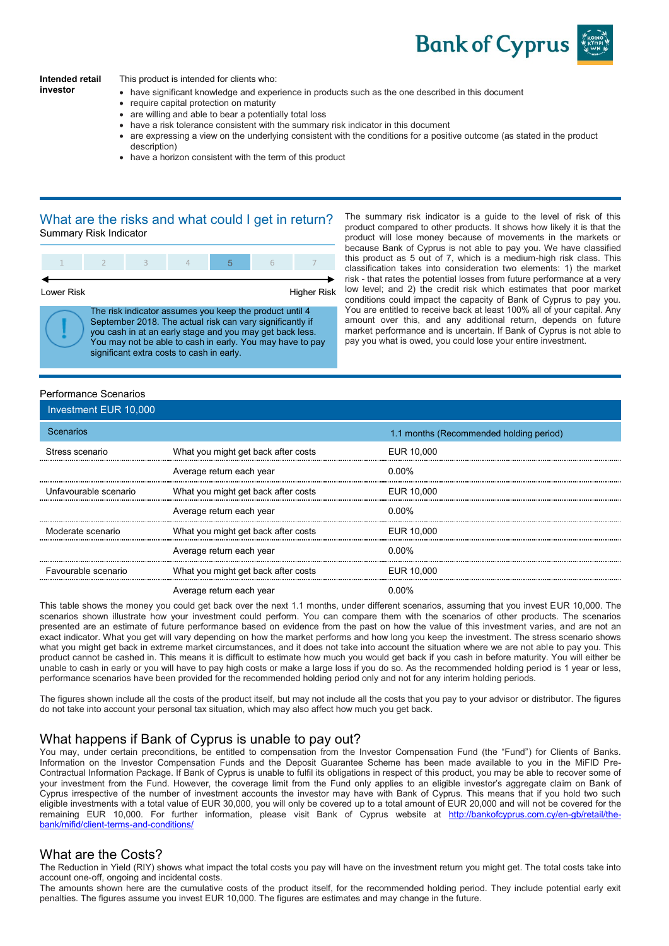

#### **Intended retail investor**

This product is intended for clients who:

- have significant knowledge and experience in products such as the one described in this document
- require capital protection on maturity
- are willing and able to bear a potentially total loss
- have a risk tolerance consistent with the summary risk indicator in this document
- are expressing a view on the underlying consistent with the conditions for a positive outcome (as stated in the product description)
- have a horizon consistent with the term of this product

#### What are the risks and what could I get in return? Summary Risk Indicator



The risk indicator assumes you keep the product until 4 September 2018. The actual risk can vary significantly if you cash in at an early stage and you may get back less. You may not be able to cash in early. You may have to pay significant extra costs to cash in early.

The summary risk indicator is a guide to the level of risk of this product compared to other products. It shows how likely it is that the product will lose money because of movements in the markets or because Bank of Cyprus is not able to pay you. We have classified this product as 5 out of 7, which is a medium-high risk class. This classification takes into consideration two elements: 1) the market risk - that rates the potential losses from future performance at a very low level; and 2) the credit risk which estimates that poor market conditions could impact the capacity of Bank of Cyprus to pay you. You are entitled to receive back at least 100% all of your capital. Any amount over this, and any additional return, depends on future market performance and is uncertain. If Bank of Cyprus is not able to pay you what is owed, you could lose your entire investment.

# Performance Scenarios

| Investment EUR 10,000 |                                     |                                         |
|-----------------------|-------------------------------------|-----------------------------------------|
| Scenarios             |                                     | 1.1 months (Recommended holding period) |
| Stress scenario       | What you might get back after costs | EUR 10,000                              |
|                       | Average return each year            | $0.00\%$                                |
| Unfavourable scenario | What you might get back after costs | EUR 10,000                              |
|                       | Average return each year            | 0.00%                                   |
| Moderate scenario     | What you might get back after costs | EUR 10,000                              |
|                       | Average return each year            | 0.00%                                   |
| Favourable scenario   | What you might get back after costs | EUR 10,000                              |
|                       | Average refuse agab vegr            | 0.0001                                  |

Average return each year **1988** COMEX 1000 M

This table shows the money you could get back over the next 1.1 months, under different scenarios, assuming that you invest EUR 10,000. The scenarios shown illustrate how your investment could perform. You can compare them with the scenarios of other products. The scenarios presented are an estimate of future performance based on evidence from the past on how the value of this investment varies, and are not an exact indicator. What you get will vary depending on how the market performs and how long you keep the investment. The stress scenario shows what you might get back in extreme market circumstances, and it does not take into account the situation where we are not able to pay you. This product cannot be cashed in. This means it is difficult to estimate how much you would get back if you cash in before maturity. You will either be unable to cash in early or you will have to pay high costs or make a large loss if you do so. As the recommended holding period is 1 year or less, performance scenarios have been provided for the recommended holding period only and not for any interim holding periods.

The figures shown include all the costs of the product itself, but may not include all the costs that you pay to your advisor or distributor. The figures do not take into account your personal tax situation, which may also affect how much you get back.

#### What happens if Bank of Cyprus is unable to pay out?

You may, under certain preconditions, be entitled to compensation from the Investor Compensation Fund (the "Fund") for Clients of Banks. Information on the Investor Compensation Funds and the Deposit Guarantee Scheme has been made available to you in the MiFID Pre-Contractual Information Package. If Bank of Cyprus is unable to fulfil its obligations in respect of this product, you may be able to recover some of your investment from the Fund. However, the coverage limit from the Fund only applies to an eligible investor's aggregate claim on Bank of Cyprus irrespective of the number of investment accounts the investor may have with Bank of Cyprus. This means that if you hold two such eligible investments with a total value of EUR 30,000, you will only be covered up to a total amount of EUR 20,000 and will not be covered for the remaining EUR 10,000. For further information, please visit Bank of Cyprus website at [http://bankofcyprus.com.cy/en-gb/retail/the](http://bankofcyprus.com.cy/en-gb/retail/the-bank/mifid/client-terms-and-conditions/)[bank/mifid/client-terms-and-conditions/](http://bankofcyprus.com.cy/en-gb/retail/the-bank/mifid/client-terms-and-conditions/)

#### What are the Costs?

The Reduction in Yield (RIY) shows what impact the total costs you pay will have on the investment return you might get. The total costs take into account one-off, ongoing and incidental costs.

The amounts shown here are the cumulative costs of the product itself, for the recommended holding period. They include potential early exit penalties. The figures assume you invest EUR 10,000. The figures are estimates and may change in the future.